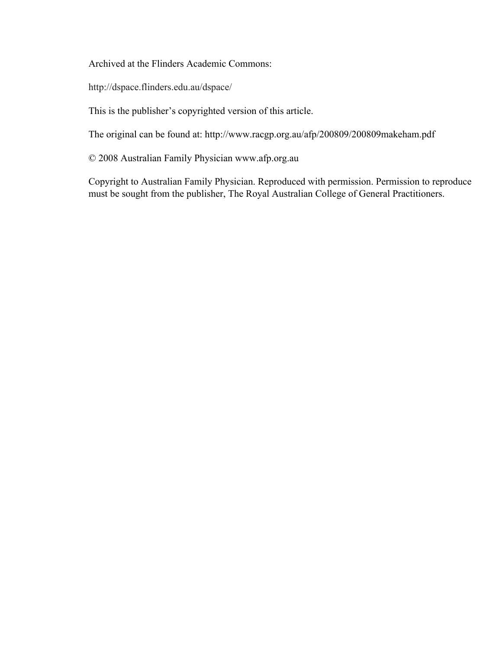Archived at the Flinders Academic Commons:

http://dspace.flinders.edu.au/dspace/

This is the publisher's copyrighted version of this article.

The original can be found at: http://www.racgp.org.au/afp/200809/200809makeham.pdf

© 2008 Australian Family Physician www.afp.org.au

Copyright to Australian Family Physician. Reproduced with permission. Permission to reproduce must be sought from the publisher, The Royal Australian College of General Practitioners.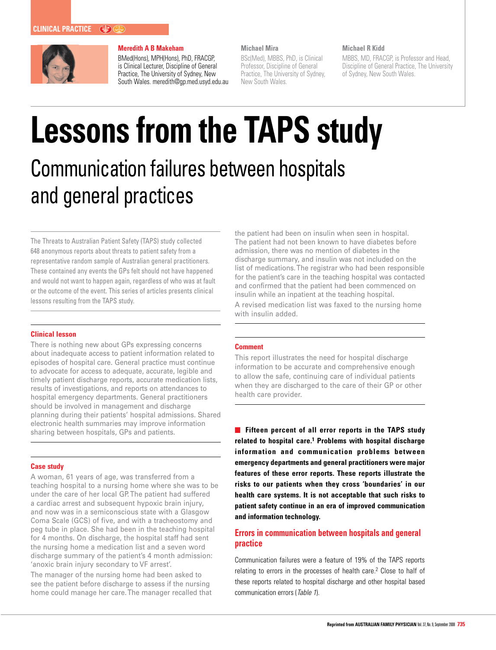

# **Meredith A B Makeham**

BMed(Hons), MPH(Hons), PhD, FRACGP, is Clinical Lecturer, Discipline of General Practice, The University of Sydney, New South Wales. meredith@gp.med.usyd.edu.au

# **Michael Mira**

BSc(Med), MBBS, PhD, is Clinical Professor, Discipline of General Practice, The University of Sydney, New South Wales.

#### **Michael R Kidd**

MBBS, MD, FRACGP, is Professor and Head, Discipline of General Practice, The University of Sydney, New South Wales.

# **Lessons from the TAPS study** Communication failures between hospitals and general practices

The Threats to Australian Patient Safety (TAPS) study collected 648 anonymous reports about threats to patient safety from a representative random sample of Australian general practitioners. These contained any events the GPs felt should not have happened and would not want to happen again, regardless of who was at fault or the outcome of the event. This series of articles presents clinical lessons resulting from the TAPS study.

# **Clinical lesson**

There is nothing new about GPs expressing concerns about inadequate access to patient information related to episodes of hospital care. General practice must continue to advocate for access to adequate, accurate, legible and timely patient discharge reports, accurate medication lists, results of investigations, and reports on attendances to hospital emergency departments. General practitioners should be involved in management and discharge planning during their patients' hospital admissions. Shared electronic health summaries may improve information sharing between hospitals, GPs and patients.

#### **Case study**

A woman, 61 years of age, was transferred from a teaching hospital to a nursing home where she was to be under the care of her local GP. The patient had suffered a cardiac arrest and subsequent hypoxic brain injury, and now was in a semiconscious state with a Glasgow Coma Scale (GCS) of five, and with a tracheostomy and peg tube in place. She had been in the teaching hospital for 4 months. On discharge, the hospital staff had sent the nursing home a medication list and a seven word discharge summary of the patient's 4 month admission: 'anoxic brain injury secondary to VF arrest'.

The manager of the nursing home had been asked to see the patient before discharge to assess if the nursing home could manage her care. The manager recalled that the patient had been on insulin when seen in hospital. The patient had not been known to have diabetes before admission, there was no mention of diabetes in the discharge summary, and insulin was not included on the list of medications. The registrar who had been responsible for the patient's care in the teaching hospital was contacted and confirmed that the patient had been commenced on insulin while an inpatient at the teaching hospital.

A revised medication list was faxed to the nursing home with insulin added.

# **Comment**

This report illustrates the need for hospital discharge information to be accurate and comprehensive enough to allow the safe, continuing care of individual patients when they are discharged to the care of their GP or other health care provider.

**Fifteen percent of all error reports in the TAPS study related to hospital care.1 Problems with hospital discharge information and communication problems between emergency departments and general practitioners were major features of these error reports. These reports illustrate the risks to our patients when they cross 'boundaries' in our health care systems. It is not acceptable that such risks to patient safety continue in an era of improved communication and information technology.**

# **Errors in communication between hospitals and general practice**

Communication failures were a feature of 19% of the TAPS reports relating to errors in the processes of health care.<sup>2</sup> Close to half of these reports related to hospital discharge and other hospital based communication errors (Table 1).